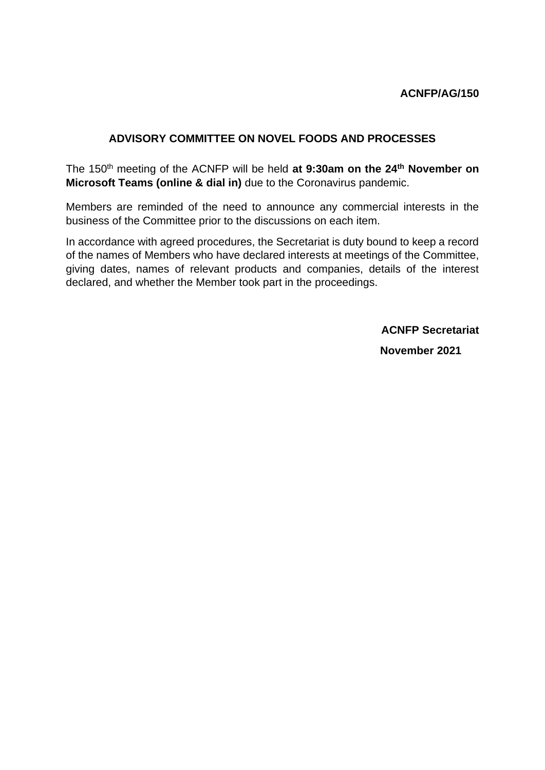# **ADVISORY COMMITTEE ON NOVEL FOODS AND PROCESSES**

The 150th meeting of the ACNFP will be held **at 9:30am on the 24th November on Microsoft Teams (online & dial in)** due to the Coronavirus pandemic.

Members are reminded of the need to announce any commercial interests in the business of the Committee prior to the discussions on each item.

In accordance with agreed procedures, the Secretariat is duty bound to keep a record of the names of Members who have declared interests at meetings of the Committee, giving dates, names of relevant products and companies, details of the interest declared, and whether the Member took part in the proceedings.

**ACNFP Secretariat**

 **November 2021**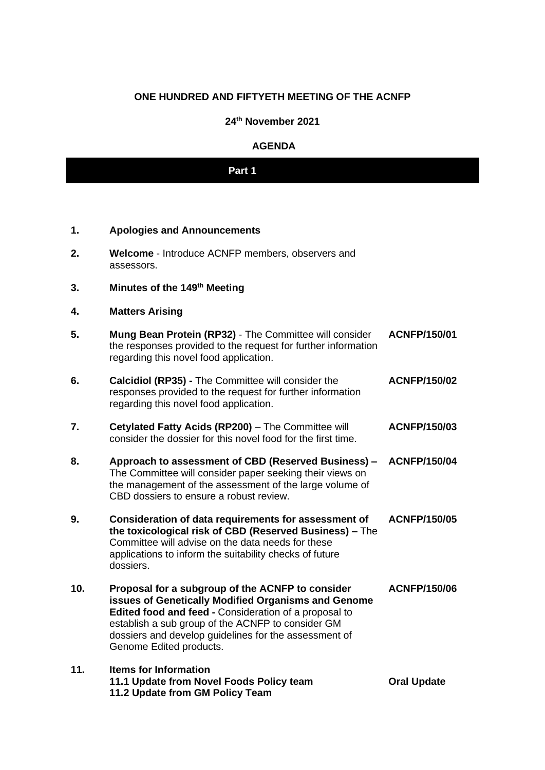# **ONE HUNDRED AND FIFTYETH MEETING OF THE ACNFP**

## **24th November 2021**

### **AGENDA**

# **Part 1**

## **1. Apologies and Announcements**

- **2. Welcome** Introduce ACNFP members, observers and assessors.
- **3. Minutes of the 149th Meeting**
- **4. Matters Arising**
- **5. Mung Bean Protein (RP32)**  The Committee will consider the responses provided to the request for further information regarding this novel food application. **ACNFP/150/01**
- **6. Calcidiol (RP35) -** The Committee will consider the responses provided to the request for further information regarding this novel food application. **ACNFP/150/02**
- **7. Cetylated Fatty Acids (RP200)** The Committee will consider the dossier for this novel food for the first time. **ACNFP/150/03**
- **8. Approach to assessment of CBD (Reserved Business) – ACNFP/150/04** The Committee will consider paper seeking their views on the management of the assessment of the large volume of CBD dossiers to ensure a robust review.
- **9. Consideration of data requirements for assessment of the toxicological risk of CBD (Reserved Business) –** The Committee will advise on the data needs for these applications to inform the suitability checks of future dossiers. **ACNFP/150/05**
- **10. Proposal for a subgroup of the ACNFP to consider issues of Genetically Modified Organisms and Genome Edited food and feed -** Consideration of a proposal to establish a sub group of the ACNFP to consider GM dossiers and develop guidelines for the assessment of Genome Edited products. **ACNFP/150/06**

## **11. Items for Information 11.1 Update from Novel Foods Policy team 11.2 Update from GM Policy Team**

**Oral Update**